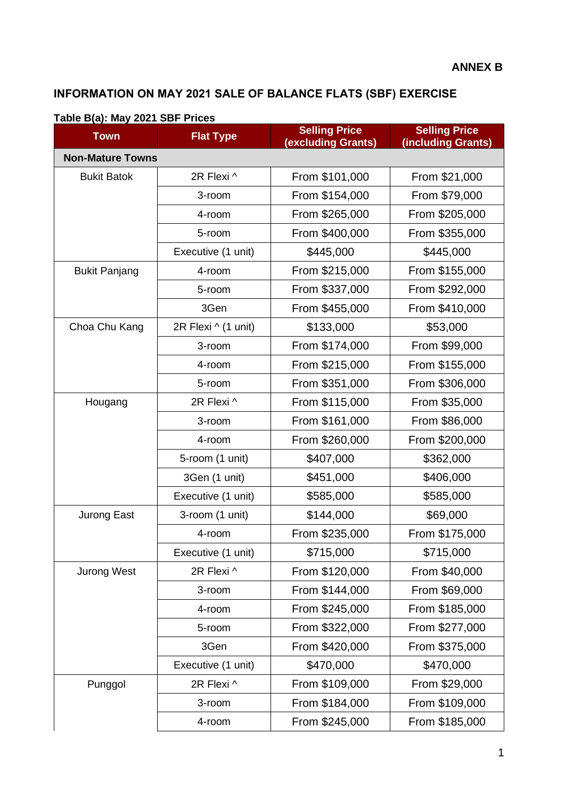## **INFORMATION ON MAY 2021 SALE OF BALANCE FLATS (SBF) EXERCISE**

| <b>Town</b>             | <b>Flat Type</b>    | <b>Selling Price</b><br><b>Selling Price</b><br>(excluding Grants)<br>(including Grants) |                |  |
|-------------------------|---------------------|------------------------------------------------------------------------------------------|----------------|--|
| <b>Non-Mature Towns</b> |                     |                                                                                          |                |  |
| <b>Bukit Batok</b>      | 2R Flexi ^          | From \$101,000                                                                           | From \$21,000  |  |
|                         | 3-room              | From \$154,000                                                                           | From \$79,000  |  |
|                         | 4-room              | From \$265,000                                                                           | From \$205,000 |  |
|                         | 5-room              | From \$400,000                                                                           | From \$355,000 |  |
|                         | Executive (1 unit)  | \$445,000                                                                                | \$445,000      |  |
| <b>Bukit Panjang</b>    | 4-room              | From \$215,000                                                                           | From \$155,000 |  |
|                         | 5-room              | From \$337,000                                                                           | From \$292,000 |  |
|                         | 3Gen                | From \$455,000                                                                           | From \$410,000 |  |
| Choa Chu Kang           | 2R Flexi ^ (1 unit) | \$133,000                                                                                | \$53,000       |  |
|                         | 3-room              | From \$174,000                                                                           | From \$99,000  |  |
|                         | 4-room              | From \$215,000                                                                           | From \$155,000 |  |
|                         | 5-room              | From \$351,000                                                                           | From \$306,000 |  |
| Hougang                 | 2R Flexi ^          | From \$115,000                                                                           | From \$35,000  |  |
|                         | 3-room              | From \$161,000                                                                           | From \$86,000  |  |
|                         | 4-room              | From \$260,000                                                                           | From \$200,000 |  |
|                         | 5-room (1 unit)     | \$407,000                                                                                | \$362,000      |  |
|                         | 3Gen (1 unit)       | \$451,000                                                                                | \$406,000      |  |
|                         | Executive (1 unit)  | \$585,000                                                                                | \$585,000      |  |
| Jurong East             | 3-room (1 unit)     | \$144,000                                                                                | \$69,000       |  |
|                         | 4-room              | From \$235,000                                                                           | From \$175,000 |  |
|                         | Executive (1 unit)  | \$715,000                                                                                | \$715,000      |  |
| <b>Jurong West</b>      | 2R Flexi ^          | From \$120,000                                                                           | From \$40,000  |  |
|                         | 3-room              | From \$144,000                                                                           | From \$69,000  |  |
|                         | 4-room              | From \$245,000                                                                           | From \$185,000 |  |
|                         | 5-room              | From \$322,000                                                                           | From \$277,000 |  |
|                         | 3Gen                | From \$420,000                                                                           | From \$375,000 |  |
|                         | Executive (1 unit)  | \$470,000                                                                                | \$470,000      |  |
| Punggol                 | 2R Flexi ^          | From \$109,000                                                                           | From \$29,000  |  |
|                         | 3-room              | From \$184,000                                                                           | From \$109,000 |  |
|                         | 4-room              | From \$245,000                                                                           | From \$185,000 |  |

## **Table B(a): May 2021 SBF Prices**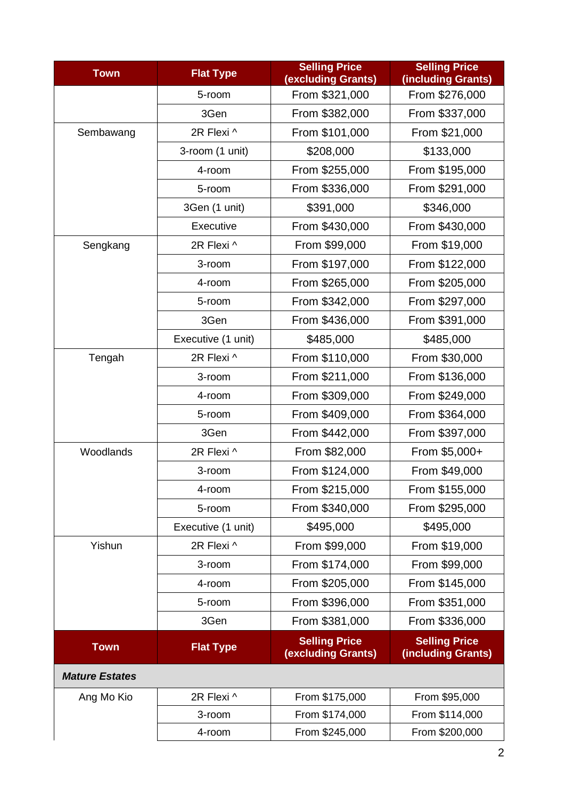| <b>Town</b>           | <b>Flat Type</b>   | <b>Selling Price</b><br>(excluding Grants)        | <b>Selling Price</b><br>(including Grants) |  |  |
|-----------------------|--------------------|---------------------------------------------------|--------------------------------------------|--|--|
|                       | 5-room             | From \$321,000                                    | From \$276,000                             |  |  |
|                       | 3Gen               | From \$382,000                                    | From \$337,000                             |  |  |
| Sembawang             | 2R Flexi ^         | From \$101,000                                    | From \$21,000                              |  |  |
|                       | 3-room (1 unit)    | \$208,000                                         | \$133,000                                  |  |  |
|                       | 4-room             | From \$255,000                                    | From \$195,000                             |  |  |
|                       | 5-room             | From \$336,000                                    | From \$291,000                             |  |  |
|                       | 3Gen (1 unit)      | \$391,000                                         | \$346,000                                  |  |  |
|                       | Executive          | From \$430,000                                    | From \$430,000                             |  |  |
| Sengkang              | 2R Flexi ^         | From \$99,000                                     | From \$19,000                              |  |  |
|                       | 3-room             | From \$197,000                                    | From \$122,000                             |  |  |
|                       | 4-room             | From \$265,000                                    | From \$205,000                             |  |  |
|                       | 5-room             | From \$342,000                                    | From \$297,000                             |  |  |
|                       | 3Gen               | From \$436,000                                    | From \$391,000                             |  |  |
|                       | Executive (1 unit) | \$485,000                                         | \$485,000                                  |  |  |
| Tengah                | 2R Flexi ^         | From \$110,000                                    | From \$30,000                              |  |  |
|                       | 3-room             | From \$211,000                                    | From \$136,000                             |  |  |
|                       | 4-room             | From \$309,000<br>From \$249,000                  |                                            |  |  |
|                       | 5-room             | From \$409,000                                    | From \$364,000                             |  |  |
|                       | 3Gen               | From \$442,000                                    | From \$397,000                             |  |  |
| Woodlands             | 2R Flexi ^         | From \$82,000                                     | From \$5,000+                              |  |  |
|                       | 3-room             | From \$124,000                                    | From \$49,000                              |  |  |
|                       | 4-room             | From \$215,000                                    | From \$155,000                             |  |  |
|                       | 5-room             | From \$340,000                                    | From \$295,000                             |  |  |
|                       | Executive (1 unit) | \$495,000                                         | \$495,000                                  |  |  |
| Yishun                | 2R Flexi ^         | From \$99,000                                     | From \$19,000                              |  |  |
|                       | 3-room             | From \$174,000                                    | From \$99,000                              |  |  |
|                       | 4-room             | From \$205,000                                    | From \$145,000                             |  |  |
|                       | 5-room             | From \$396,000                                    | From \$351,000                             |  |  |
|                       | 3Gen               | From \$381,000                                    | From \$336,000                             |  |  |
| <b>Town</b>           | <b>Flat Type</b>   | <b>Selling Price</b><br><b>(excluding Grants)</b> | <b>Selling Price</b><br>(including Grants) |  |  |
| <b>Mature Estates</b> |                    |                                                   |                                            |  |  |
| Ang Mo Kio            | 2R Flexi ^         | From \$175,000                                    | From \$95,000                              |  |  |
|                       | 3-room             | From \$174,000                                    | From \$114,000                             |  |  |
|                       | 4-room             | From \$245,000                                    | From \$200,000                             |  |  |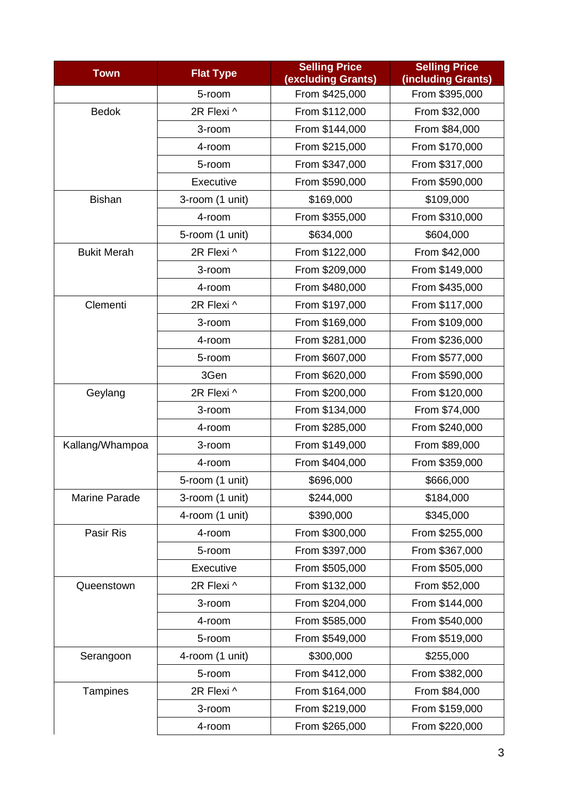| <b>Town</b>        | <b>Flat Type</b> | <b>Selling Price</b><br>(excluding Grants) | <b>Selling Price</b><br>(including Grants) |  |
|--------------------|------------------|--------------------------------------------|--------------------------------------------|--|
|                    | 5-room           | From \$425,000                             | From \$395,000                             |  |
| <b>Bedok</b>       | 2R Flexi ^       | From \$112,000                             | From \$32,000                              |  |
|                    | 3-room           | From \$144,000                             | From \$84,000                              |  |
|                    | 4-room           | From \$215,000                             | From \$170,000                             |  |
|                    | 5-room           | From \$347,000                             | From \$317,000                             |  |
|                    | Executive        | From \$590,000                             | From \$590,000                             |  |
| <b>Bishan</b>      | 3-room (1 unit)  | \$169,000                                  | \$109,000                                  |  |
|                    | 4-room           | From \$355,000                             | From \$310,000                             |  |
|                    | 5-room (1 unit)  | \$634,000                                  | \$604,000                                  |  |
| <b>Bukit Merah</b> | 2R Flexi ^       | From \$122,000                             | From \$42,000                              |  |
|                    | 3-room           | From \$209,000                             | From \$149,000                             |  |
|                    | 4-room           | From \$480,000                             | From \$435,000                             |  |
| Clementi           | 2R Flexi ^       | From \$197,000                             | From \$117,000                             |  |
|                    | 3-room           | From \$169,000                             | From \$109,000                             |  |
|                    | 4-room           | From \$281,000                             | From \$236,000                             |  |
|                    | 5-room           | From \$607,000                             | From \$577,000                             |  |
|                    | 3Gen             | From \$620,000                             | From \$590,000                             |  |
| Geylang            | 2R Flexi ^       | From \$200,000                             | From \$120,000                             |  |
|                    | 3-room           | From \$134,000                             | From \$74,000                              |  |
|                    | 4-room           | From \$285,000                             | From \$240,000                             |  |
| Kallang/Whampoa    | 3-room           | From \$149,000                             | From \$89,000                              |  |
|                    | 4-room           | From \$404,000                             | From \$359,000                             |  |
|                    | 5-room (1 unit)  | \$696,000                                  | \$666,000                                  |  |
| Marine Parade      | 3-room (1 unit)  | \$244,000                                  | \$184,000                                  |  |
|                    | 4-room (1 unit)  | \$390,000                                  | \$345,000                                  |  |
| Pasir Ris          | 4-room           | From \$300,000                             | From \$255,000                             |  |
|                    | 5-room           | From \$397,000                             | From \$367,000                             |  |
|                    | Executive        | From \$505,000                             | From \$505,000                             |  |
| Queenstown         | 2R Flexi ^       | From \$132,000                             | From \$52,000                              |  |
|                    | 3-room           | From \$204,000                             | From \$144,000                             |  |
|                    | 4-room           | From \$585,000                             | From \$540,000                             |  |
|                    | 5-room           | From \$549,000                             | From \$519,000                             |  |
| Serangoon          | 4-room (1 unit)  | \$300,000                                  | \$255,000                                  |  |
|                    | 5-room           | From \$412,000                             | From \$382,000                             |  |
| Tampines           | 2R Flexi ^       | From \$164,000                             | From \$84,000                              |  |
|                    | 3-room           | From \$219,000                             | From \$159,000                             |  |
|                    | 4-room           | From \$265,000                             | From \$220,000                             |  |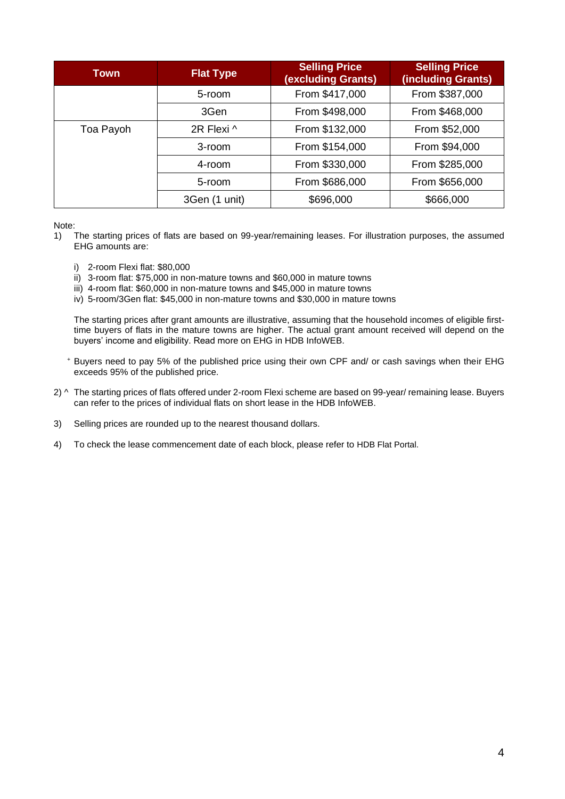| Town      | <b>Flat Type</b>         | <b>Selling Price</b><br>(excluding Grants) | <b>Selling Price</b><br>(including Grants) |
|-----------|--------------------------|--------------------------------------------|--------------------------------------------|
|           | 5-room                   | From \$417,000                             | From \$387,000                             |
|           | 3Gen                     | From \$498,000                             | From \$468,000                             |
| Toa Payoh | 2R Flexi ^               | From \$132,000                             | From \$52,000                              |
|           | From \$154,000<br>3-room |                                            | From \$94,000                              |
|           | $4$ -room                | From \$330,000                             | From \$285,000                             |
|           | 5-room                   | From \$686,000                             | From \$656,000                             |
|           | 3Gen (1 unit)            | \$696,000                                  | \$666,000                                  |

Note:

- 1) The starting prices of flats are based on 99-year/remaining leases. For illustration purposes, the assumed EHG amounts are:
	- i) 2-room Flexi flat: \$80,000
	- ii) 3-room flat: \$75,000 in non-mature towns and \$60,000 in mature towns
	- iii) 4-room flat: \$60,000 in non-mature towns and \$45,000 in mature towns
	- iv) 5-room/3Gen flat: \$45,000 in non-mature towns and \$30,000 in mature towns

The starting prices after grant amounts are illustrative, assuming that the household incomes of eligible firsttime buyers of flats in the mature towns are higher. The actual grant amount received will depend on the buyers' income and eligibility. Read more on [EHG in HDB InfoWEB.](https://www.hdb.gov.sg/cs/infoweb/residential/buying-a-flat/new/schemes-and-grants/cpf-housing-grants-for-hdb-flats/firsttimer-applicants)

- <sup>+</sup> Buyers need to pay 5% of the published price using their own CPF and/ or cash savings when their EHG exceeds 95% of the published price.
- 2) ^ The starting prices of flats offered under 2-room Flexi scheme are based on 99-year/ remaining lease. Buyers can refer to the prices of individual flats on short lease in the HDB InfoWEB.
- 3) Selling prices are rounded up to the nearest thousand dollars.
- 4) To check the lease commencement date of each block, please refer to HDB Flat Portal.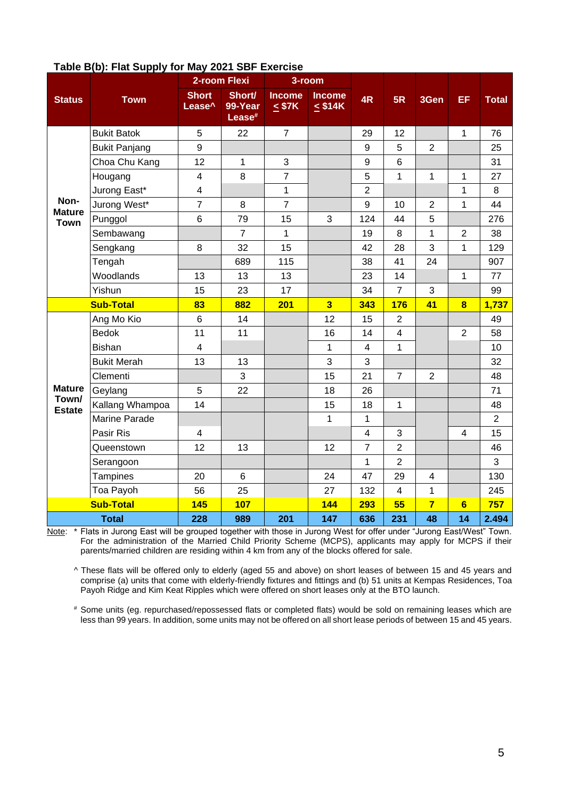|                        | $\cdots$<br>$\sim$ . $\sim$ | 2-room Flexi                       |                                         | 3-room                       |                               |                         |                         |                |                         |                |
|------------------------|-----------------------------|------------------------------------|-----------------------------------------|------------------------------|-------------------------------|-------------------------|-------------------------|----------------|-------------------------|----------------|
| <b>Status</b>          | <b>Town</b>                 | <b>Short</b><br>Lease <sup>^</sup> | Short/<br>99-Year<br>Lease <sup>#</sup> | <b>Income</b><br>$\leq$ \$7K | <b>Income</b><br>$\leq$ \$14K | 4R                      | 5R                      | 3Gen           | EF                      | <b>Total</b>   |
|                        | <b>Bukit Batok</b>          | $\overline{5}$                     | 22                                      | $\overline{7}$               |                               | 29                      | 12                      |                | $\mathbf{1}$            | 76             |
|                        | <b>Bukit Panjang</b>        | 9                                  |                                         |                              |                               | 9                       | 5                       | $\overline{2}$ |                         | 25             |
|                        | Choa Chu Kang               | 12                                 | 1                                       | 3                            |                               | $\boldsymbol{9}$        | 6                       |                |                         | 31             |
|                        | Hougang                     | 4                                  | 8                                       | $\overline{7}$               |                               | 5                       | 1                       | 1              | 1                       | 27             |
|                        | Jurong East*                | $\overline{\mathbf{4}}$            |                                         | $\mathbf{1}$                 |                               | $\overline{2}$          |                         |                | $\mathbf{1}$            | 8              |
| Non-<br><b>Mature</b>  | Jurong West*                | $\overline{7}$                     | 8                                       | $\overline{7}$               |                               | 9                       | 10                      | $\overline{2}$ | $\mathbf{1}$            | 44             |
| <b>Town</b>            | Punggol                     | $\,6$                              | 79                                      | 15                           | 3                             | 124                     | 44                      | 5              |                         | 276            |
|                        | Sembawang                   |                                    | $\overline{7}$                          | $\mathbf{1}$                 |                               | 19                      | 8                       | 1              | $\overline{2}$          | 38             |
|                        | Sengkang                    | 8                                  | 32                                      | 15                           |                               | 42                      | 28                      | 3              | $\mathbf{1}$            | 129            |
|                        | Tengah                      |                                    | 689                                     | 115                          |                               | 38                      | 41                      | 24             |                         | 907            |
|                        | Woodlands                   | 13                                 | 13                                      | 13                           |                               | 23                      | 14                      |                | $\mathbf{1}$            | 77             |
|                        | Yishun                      | 15                                 | 23                                      | 17                           |                               | 34                      | $\overline{7}$          | 3              |                         | 99             |
|                        | <b>Sub-Total</b>            | 83                                 | 882                                     | 201                          | $\overline{\mathbf{3}}$       | 343                     | 176                     | 41             | $\overline{\mathbf{8}}$ | 1,737          |
|                        | Ang Mo Kio                  | $6\phantom{1}6$                    | 14                                      |                              | 12                            | 15                      | $\overline{2}$          |                |                         | 49             |
|                        | <b>Bedok</b>                | 11                                 | 11                                      |                              | 16                            | 14                      | $\overline{\mathbf{4}}$ |                | $\overline{2}$          | 58             |
|                        | <b>Bishan</b>               | $\overline{\mathbf{4}}$            |                                         |                              | $\mathbf{1}$                  | $\overline{\mathbf{4}}$ | 1                       |                |                         | 10             |
|                        | <b>Bukit Merah</b>          | 13                                 | 13                                      |                              | 3                             | 3                       |                         |                |                         | 32             |
|                        | Clementi                    |                                    | 3                                       |                              | 15                            | 21                      | $\overline{7}$          | $\overline{2}$ |                         | 48             |
| <b>Mature</b>          | Geylang                     | $\overline{5}$                     | 22                                      |                              | 18                            | 26                      |                         |                |                         | 71             |
| Town/<br><b>Estate</b> | Kallang Whampoa             | 14                                 |                                         |                              | 15                            | 18                      | 1                       |                |                         | 48             |
|                        | <b>Marine Parade</b>        |                                    |                                         |                              | $\mathbf{1}$                  | $\mathbf{1}$            |                         |                |                         | $\overline{2}$ |
|                        | Pasir Ris                   | $\overline{\mathbf{4}}$            |                                         |                              |                               | $\overline{\mathbf{4}}$ | 3                       |                | $\overline{\mathbf{4}}$ | 15             |
|                        | Queenstown                  | 12                                 | 13                                      |                              | 12                            | $\overline{7}$          | $\overline{2}$          |                |                         | 46             |
|                        | Serangoon                   |                                    |                                         |                              |                               | $\mathbf{1}$            | $\overline{c}$          |                |                         | 3              |
|                        | <b>Tampines</b>             | 20                                 | $6\phantom{1}6$                         |                              | 24                            | 47                      | 29                      | 4              |                         | 130            |
|                        | Toa Payoh                   | 56                                 | 25                                      |                              | 27                            | 132                     | $\overline{\mathbf{4}}$ | 1              |                         | 245            |
|                        | <b>Sub-Total</b>            | <b>145</b>                         | <b>107</b>                              |                              | 144                           | 293                     | 55                      | $\overline{7}$ | $6\phantom{a}$          | 757            |
|                        | <b>Total</b>                | 228                                | 989                                     | 201                          | 147                           | 636                     | 231                     | 48             | 14                      | 2.494          |

## **Table B(b): Flat Supply for May 2021 SBF Exercise**

Note: \* Flats in Jurong East will be grouped together with those in Jurong West for offer under "Jurong East/West" Town. For the administration of the Married Child Priority Scheme (MCPS), applicants may apply for MCPS if their parents/married children are residing within 4 km from any of the blocks offered for sale.

^ These flats will be offered only to elderly (aged 55 and above) on short leases of between 15 and 45 years and comprise (a) units that come with elderly-friendly fixtures and fittings and (b) 51 units at Kempas Residences, Toa Payoh Ridge and Kim Keat Ripples which were offered on short leases only at the BTO launch.

# Some units (eg. repurchased/repossessed flats or completed flats) would be sold on remaining leases which are less than 99 years. In addition, some units may not be offered on all short lease periods of between 15 and 45 years.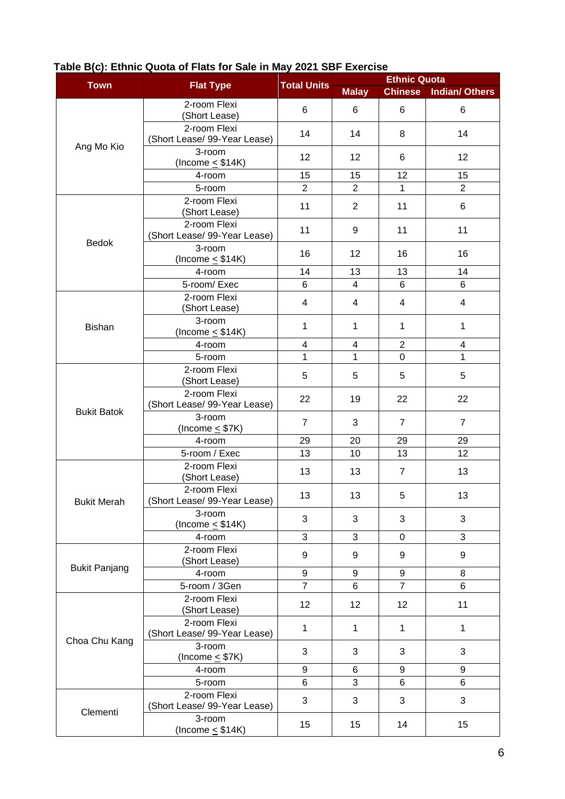|                      |                                              |                    | <b>Ethnic Quota</b> |                  |                       |  |
|----------------------|----------------------------------------------|--------------------|---------------------|------------------|-----------------------|--|
| <b>Town</b>          | <b>Flat Type</b>                             | <b>Total Units</b> | <b>Malay</b>        | <b>Chinese</b>   | <b>Indian/ Others</b> |  |
|                      | 2-room Flexi<br>(Short Lease)                | 6                  | 6                   | 6                | $\,6$                 |  |
| Ang Mo Kio           | 2-room Flexi<br>(Short Lease/ 99-Year Lease) | 14                 | 14                  | 8                | 14                    |  |
|                      | 3-room<br>(Income $\leq$ \$14K)              | 12                 | 12                  | 6                | 12                    |  |
|                      | 4-room                                       | 15                 | 15                  | 12               | 15                    |  |
|                      | 5-room                                       | $\overline{2}$     | $\overline{2}$      | $\mathbf{1}$     | $\overline{2}$        |  |
|                      | 2-room Flexi<br>(Short Lease)                | 11                 | $\overline{2}$      | 11               | 6                     |  |
| Bedok                | 2-room Flexi<br>(Short Lease/ 99-Year Lease) | 11                 | 9                   | 11               | 11                    |  |
|                      | 3-room<br>(Income $\leq$ \$14K)              | 16                 | 12                  | 16               | 16                    |  |
|                      | 4-room                                       | 14                 | 13                  | 13               | 14                    |  |
|                      | 5-room/Exec                                  | 6                  | $\overline{4}$      | 6                | 6                     |  |
|                      | 2-room Flexi<br>(Short Lease)                | 4                  | 4                   | 4                | $\overline{4}$        |  |
| <b>Bishan</b>        | 3-room<br>(Income $\leq$ \$14K)              | 1                  | $\mathbf{1}$        | 1                | 1                     |  |
|                      | 4-room                                       | 4                  | 4                   | $\overline{2}$   | $\overline{4}$        |  |
|                      | 5-room                                       | 1                  | 1                   | $\mathbf 0$      | 1                     |  |
|                      | 2-room Flexi<br>(Short Lease)                | 5                  | 5                   | 5                | 5                     |  |
|                      | 2-room Flexi<br>(Short Lease/ 99-Year Lease) | 22                 | 19                  | 22               | 22                    |  |
| <b>Bukit Batok</b>   | 3-room<br>(Income $\leq$ \$7K)               | $\overline{7}$     | 3                   | $\overline{7}$   | $\overline{7}$        |  |
|                      | 4-room                                       | 29                 | 20                  | 29               | 29                    |  |
|                      | 5-room / Exec                                | 13                 | 10                  | 13               | 12                    |  |
|                      | 2-room Flexi<br>(Short Lease)                | 13                 | 13                  | $\overline{7}$   | 13                    |  |
| <b>Bukit Merah</b>   | 2-room Flexi<br>(Short Lease/ 99-Year Lease) | 13                 | 13                  | 5                | 13                    |  |
|                      | 3-room<br>(Income $\leq$ \$14K)              | 3                  | 3                   | 3                | $\sqrt{3}$            |  |
|                      | 4-room                                       | 3                  | 3                   | $\overline{0}$   | 3                     |  |
| <b>Bukit Panjang</b> | 2-room Flexi<br>(Short Lease)                | 9                  | 9                   | 9                | 9                     |  |
|                      | 4-room                                       | 9                  | 9                   | $\boldsymbol{9}$ | 8                     |  |
|                      | 5-room / 3Gen                                | $\overline{7}$     | 6                   | $\overline{7}$   | 6                     |  |
|                      | 2-room Flexi<br>(Short Lease)                | 12                 | 12                  | 12               | 11                    |  |
| Choa Chu Kang        | 2-room Flexi<br>(Short Lease/ 99-Year Lease) | $\mathbf{1}$       | $\mathbf{1}$        | 1                | 1                     |  |
|                      | 3-room<br>(Income $\leq$ \$7K)               | 3                  | 3                   | 3                | 3                     |  |
|                      | 4-room                                       | 9                  | 6                   | 9                | 9                     |  |
|                      | 5-room                                       | 6                  | 3                   | 6                | 6                     |  |
|                      | 2-room Flexi<br>(Short Lease/ 99-Year Lease) | 3                  | 3                   | 3                | 3                     |  |
| Clementi             | 3-room<br>(Income $\leq$ \$14K)              | 15                 | 15                  | 14               | 15                    |  |

## **Table B(c): Ethnic Quota of Flats for Sale in May 2021 SBF Exercise**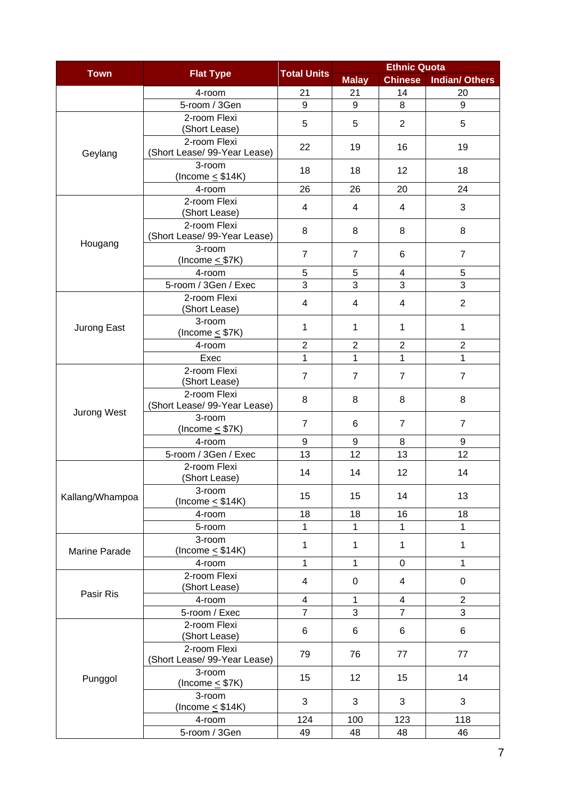| <b>Town</b>     |                                              | <b>Total Units</b>      | <b>Ethnic Quota</b> |                |                       |  |
|-----------------|----------------------------------------------|-------------------------|---------------------|----------------|-----------------------|--|
|                 | <b>Flat Type</b>                             |                         | <b>Malay</b>        | <b>Chinese</b> | <b>Indian/ Others</b> |  |
|                 | 4-room                                       | 21                      | 21                  | 14             | 20                    |  |
|                 | 5-room / 3Gen                                | 9                       | 9                   | 8              | 9                     |  |
|                 | 2-room Flexi<br>(Short Lease)                | 5                       | 5                   | $\overline{2}$ | 5                     |  |
| Geylang         | 2-room Flexi<br>(Short Lease/ 99-Year Lease) | 22                      | 19                  | 16             | 19                    |  |
|                 | 3-room<br>(Income $\leq$ \$14K)              | 18                      | 18                  | 12             | 18                    |  |
|                 | 4-room                                       | 26                      | 26                  | 20             | 24                    |  |
|                 | 2-room Flexi<br>(Short Lease)                | 4                       | 4                   | 4              | 3                     |  |
|                 | 2-room Flexi<br>(Short Lease/ 99-Year Lease) | 8                       | 8                   | 8              | 8                     |  |
| Hougang         | 3-room<br>(Income $\leq$ \$7K)               | $\overline{7}$          | $\overline{7}$      | 6              | $\overline{7}$        |  |
|                 | 4-room                                       | 5                       | 5                   | 4              | 5                     |  |
|                 | 5-room / 3Gen / Exec                         | 3                       | 3                   | 3              | 3                     |  |
|                 | 2-room Flexi<br>(Short Lease)                | 4                       | 4                   | 4              | $\overline{2}$        |  |
| Jurong East     | 3-room<br>(Income $\leq$ \$7K)               | $\mathbf{1}$            | 1                   | 1              | 1                     |  |
|                 | 4-room                                       | $\overline{2}$          | $\overline{2}$      | $\overline{2}$ | $\overline{2}$        |  |
|                 | Exec                                         | $\mathbf{1}$            | 1                   | 1              | 1                     |  |
|                 | 2-room Flexi<br>(Short Lease)                | $\overline{7}$          | $\overline{7}$      | $\overline{7}$ | $\overline{7}$        |  |
|                 | 2-room Flexi<br>(Short Lease/ 99-Year Lease) | 8                       | 8                   | 8              | 8                     |  |
| Jurong West     | 3-room<br>(Income $\leq$ \$7K)               | $\overline{7}$          | 6                   | $\overline{7}$ | $\overline{7}$        |  |
|                 | 4-room                                       | 9                       | 9                   | 8              | 9                     |  |
|                 | 5-room / 3Gen / Exec                         | 13                      | 12                  | 13             | 12                    |  |
|                 | 2-room Flexi<br>(Short Lease)                | 14                      | 14                  | 12             | 14                    |  |
| Kallang/Whampoa | 3-room<br>(Income $\leq$ \$14K)              | 15                      | 15                  | 14             | 13                    |  |
|                 | 4-room                                       | 18                      | 18                  | 16             | 18                    |  |
|                 | 5-room                                       | 1                       | 1                   | 1              | 1                     |  |
| Marine Parade   | 3-room<br>(Income $\leq$ \$14K)              | 1                       | 1                   | 1              | 1                     |  |
|                 | 4-room                                       | $\mathbf{1}$            | 1                   | 0              | 1                     |  |
|                 | 2-room Flexi<br>(Short Lease)                | 4                       | $\mathbf 0$         | $\overline{4}$ | $\pmb{0}$             |  |
| Pasir Ris       | 4-room                                       | $\overline{\mathbf{4}}$ | 1                   | $\overline{4}$ | $\overline{2}$        |  |
|                 | 5-room / Exec                                | $\overline{7}$          | 3                   | $\overline{7}$ | 3                     |  |
|                 | 2-room Flexi<br>(Short Lease)                | 6                       | 6                   | 6              | 6                     |  |
|                 | 2-room Flexi<br>(Short Lease/ 99-Year Lease) | 79                      | 76                  | 77             | 77                    |  |
| Punggol         | 3-room<br>(Income $\leq$ \$7K)               | 15                      | 12                  | 15             | 14                    |  |
|                 | 3-room<br>(Income $\leq$ \$14K)              | 3                       | 3                   | 3              | 3                     |  |
|                 | 4-room                                       | 124                     | 100                 | 123            | 118                   |  |
|                 | 5-room / 3Gen                                | 49                      | 48                  | 48             | 46                    |  |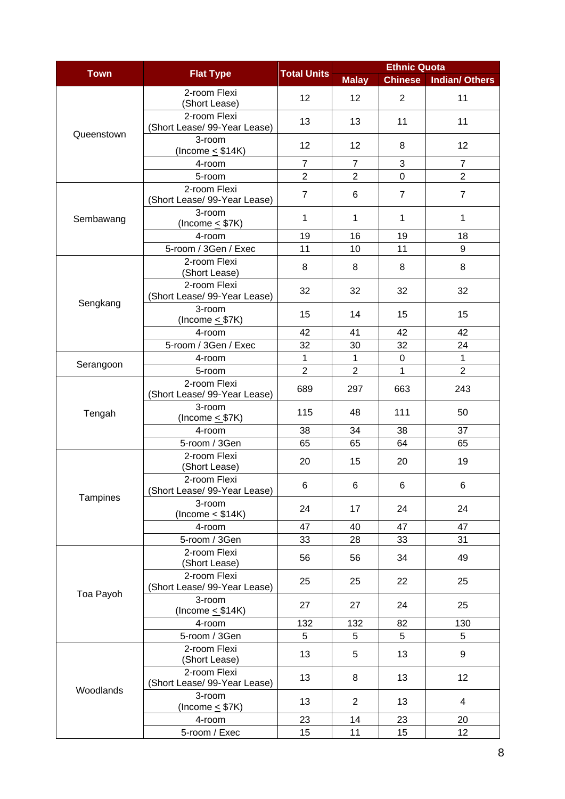|             |                                              |                    | <b>Ethnic Quota</b> |                |                       |  |
|-------------|----------------------------------------------|--------------------|---------------------|----------------|-----------------------|--|
| <b>Town</b> | <b>Flat Type</b>                             | <b>Total Units</b> | <b>Malay</b>        | <b>Chinese</b> | <b>Indian/ Others</b> |  |
|             | 2-room Flexi<br>(Short Lease)                | 12                 | 12                  | $\overline{2}$ | 11                    |  |
| Queenstown  | 2-room Flexi<br>(Short Lease/ 99-Year Lease) | 13                 | 13                  | 11             | 11                    |  |
|             | 3-room<br>(Income $\leq$ \$14K)              | 12                 | 12                  | 8              | 12                    |  |
|             | 4-room                                       | $\overline{7}$     | $\overline{7}$      | 3              | $\overline{7}$        |  |
|             | 5-room                                       | $\overline{2}$     | $\overline{2}$      | $\overline{0}$ | $\overline{2}$        |  |
|             | 2-room Flexi<br>(Short Lease/ 99-Year Lease) | $\overline{7}$     | 6                   | $\overline{7}$ | $\overline{7}$        |  |
| Sembawang   | 3-room<br>(Income $\leq$ \$7K)               | 1                  | 1                   | 1              | 1                     |  |
|             | 4-room                                       | 19                 | 16                  | 19             | 18                    |  |
|             | 5-room / 3Gen / Exec                         | 11                 | 10                  | 11             | 9                     |  |
|             | 2-room Flexi<br>(Short Lease)                | 8                  | 8                   | 8              | 8                     |  |
| Sengkang    | 2-room Flexi<br>(Short Lease/ 99-Year Lease) | 32                 | 32                  | 32             | 32                    |  |
|             | 3-room<br>(Income $\leq$ \$7K)               | 15                 | 14                  | 15             | 15                    |  |
|             | 4-room                                       | 42                 | 41                  | 42             | 42                    |  |
|             | 5-room / 3Gen / Exec                         | 32                 | 30                  | 32             | 24                    |  |
| Serangoon   | 4-room                                       | 1                  | $\mathbf 1$         | 0              | $\mathbf{1}$          |  |
|             | 5-room                                       | $\overline{2}$     | $\overline{2}$      | 1              | $\overline{2}$        |  |
|             | 2-room Flexi<br>(Short Lease/ 99-Year Lease) | 689                | 297                 | 663            | 243                   |  |
| Tengah      | 3-room<br>(Income $\leq$ \$7K)               | 115                | 48                  | 111            | 50                    |  |
|             | 4-room                                       | 38                 | 34                  | 38             | 37                    |  |
|             | 5-room / 3Gen                                | 65                 | 65                  | 64             | 65                    |  |
|             | 2-room Flexi<br>(Short Lease)                | 20                 | 15                  | 20             | 19                    |  |
| Tampines    | 2-room Flexi<br>(Short Lease/ 99-Year Lease) | 6                  | 6                   | 6              | 6                     |  |
|             | 3-room<br>(Income $\leq$ \$14K)              | 24                 | 17                  | 24             | 24                    |  |
|             | 4-room                                       | 47                 | 40                  | 47             | 47                    |  |
|             | 5-room / 3Gen                                | 33                 | 28                  | 33             | 31                    |  |
|             | 2-room Flexi<br>(Short Lease)                | 56                 | 56                  | 34             | 49                    |  |
|             | 2-room Flexi<br>(Short Lease/ 99-Year Lease) | 25                 | 25                  | 22             | 25                    |  |
| Toa Payoh   | 3-room<br>(Income $\leq$ \$14K)              | 27                 | 27                  | 24             | 25                    |  |
|             | 4-room                                       | 132                | 132                 | 82             | 130                   |  |
|             | 5-room / 3Gen                                | 5                  | 5                   | 5              | 5                     |  |
| Woodlands   | 2-room Flexi<br>(Short Lease)                | 13                 | 5                   | 13             | 9                     |  |
|             | 2-room Flexi<br>(Short Lease/ 99-Year Lease) | 13                 | 8                   | 13             | 12                    |  |
|             | 3-room<br>(Income $\leq$ \$7K)               | 13                 | 2                   | 13             | 4                     |  |
|             | 4-room                                       | 23                 | 14                  | 23             | 20                    |  |
|             | 5-room / Exec                                | 15                 | 11                  | 15             | 12                    |  |